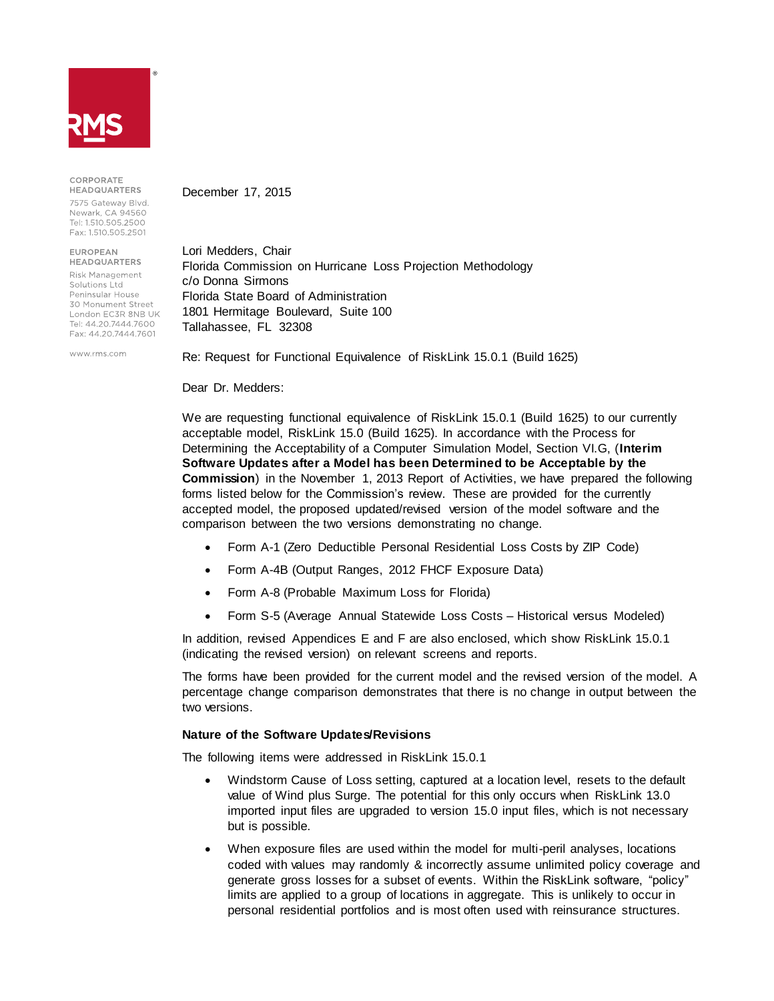

CORPORATE **HEADQUARTERS** 

7575 Gateway Blvd. Newark, CA 94560 Tel: 1.510.505.2500 Fax: 1.510.505.2501

**FUROPFAN HEADQUARTERS** 

Risk Management Solutions Ltd Peninsular House 30 Monument Street London EC3R 8NB UK Tel: 44 20 7444 7600 Fax: 44.20.7444.7601

www.rms.com

December 17, 2015

Lori Medders, Chair Florida Commission on Hurricane Loss Projection Methodology c/o Donna Sirmons Florida State Board of Administration 1801 Hermitage Boulevard, Suite 100 Tallahassee, FL 32308

Re: Request for Functional Equivalence of RiskLink 15.0.1 (Build 1625)

Dear Dr. Medders:

We are requesting functional equivalence of RiskLink 15.0.1 (Build 1625) to our currently acceptable model, RiskLink 15.0 (Build 1625). In accordance with the Process for Determining the Acceptability of a Computer Simulation Model, Section VI.G, (**Interim Software Updates after a Model has been Determined to be Acceptable by the Commission**) in the November 1, 2013 Report of Activities, we have prepared the following forms listed below for the Commission's review. These are provided for the currently accepted model, the proposed updated/revised version of the model software and the comparison between the two versions demonstrating no change.

- Form A-1 (Zero Deductible Personal Residential Loss Costs by ZIP Code)
- Form A-4B (Output Ranges, 2012 FHCF Exposure Data)
- Form A-8 (Probable Maximum Loss for Florida)
- Form S-5 (Average Annual Statewide Loss Costs Historical versus Modeled)

In addition, revised Appendices E and F are also enclosed, which show RiskLink 15.0.1 (indicating the revised version) on relevant screens and reports.

The forms have been provided for the current model and the revised version of the model. A percentage change comparison demonstrates that there is no change in output between the two versions.

# **Nature of the Software Updates/Revisions**

The following items were addressed in RiskLink 15.0.1

- Windstorm Cause of Loss setting, captured at a location level, resets to the default value of Wind plus Surge. The potential for this only occurs when RiskLink 13.0 imported input files are upgraded to version 15.0 input files, which is not necessary but is possible.
- When exposure files are used within the model for multi-peril analyses, locations coded with values may randomly & incorrectly assume unlimited policy coverage and generate gross losses for a subset of events. Within the RiskLink software, "policy" limits are applied to a group of locations in aggregate. This is unlikely to occur in personal residential portfolios and is most often used with reinsurance structures.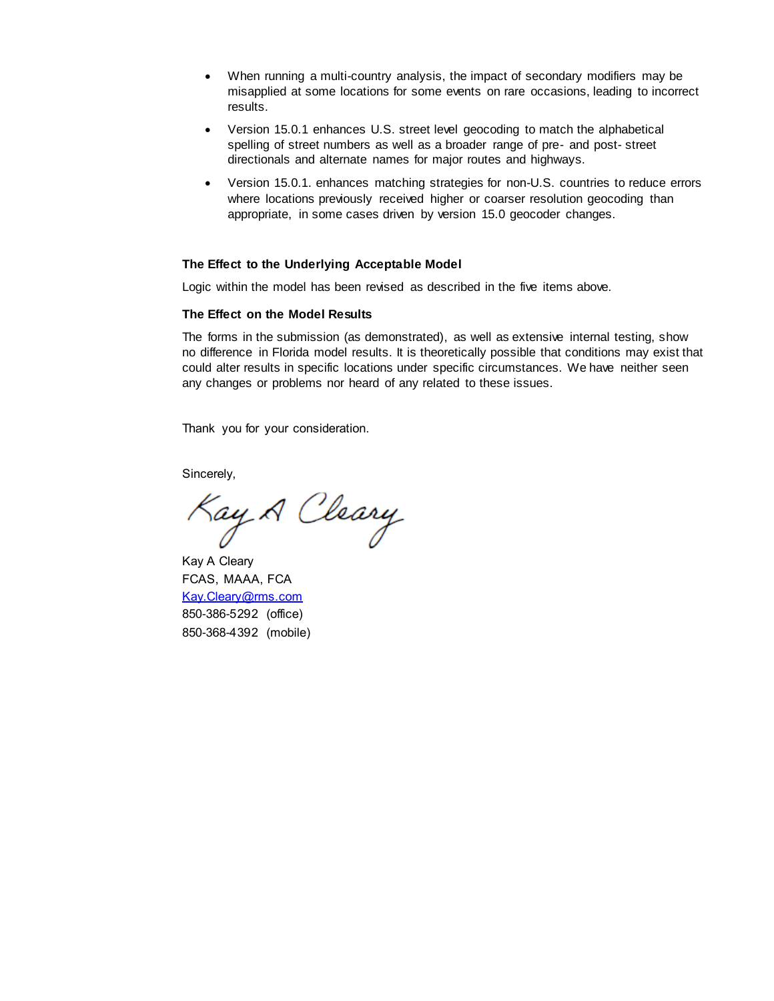- When running a multi-country analysis, the impact of secondary modifiers may be misapplied at some locations for some events on rare occasions, leading to incorrect results.
- Version 15.0.1 enhances U.S. street level geocoding to match the alphabetical spelling of street numbers as well as a broader range of pre- and post- street directionals and alternate names for major routes and highways.
- Version 15.0.1. enhances matching strategies for non-U.S. countries to reduce errors where locations previously received higher or coarser resolution geocoding than appropriate, in some cases driven by version 15.0 geocoder changes.

#### **The Effect to the Underlying Acceptable Model**

Logic within the model has been revised as described in the five items above.

#### **The Effect on the Model Results**

The forms in the submission (as demonstrated), as well as extensive internal testing, show no difference in Florida model results. It is theoretically possible that conditions may exist that could alter results in specific locations under specific circumstances. We have neither seen any changes or problems nor heard of any related to these issues.

Thank you for your consideration.

Sincerely,

Kay A Cleary

Kay A Cleary FCAS, MAAA, FCA [Kay.Cleary@rms.com](mailto:Kay.Cleary@rms.com) 850-386-5292 (office) 850-368-4392 (mobile)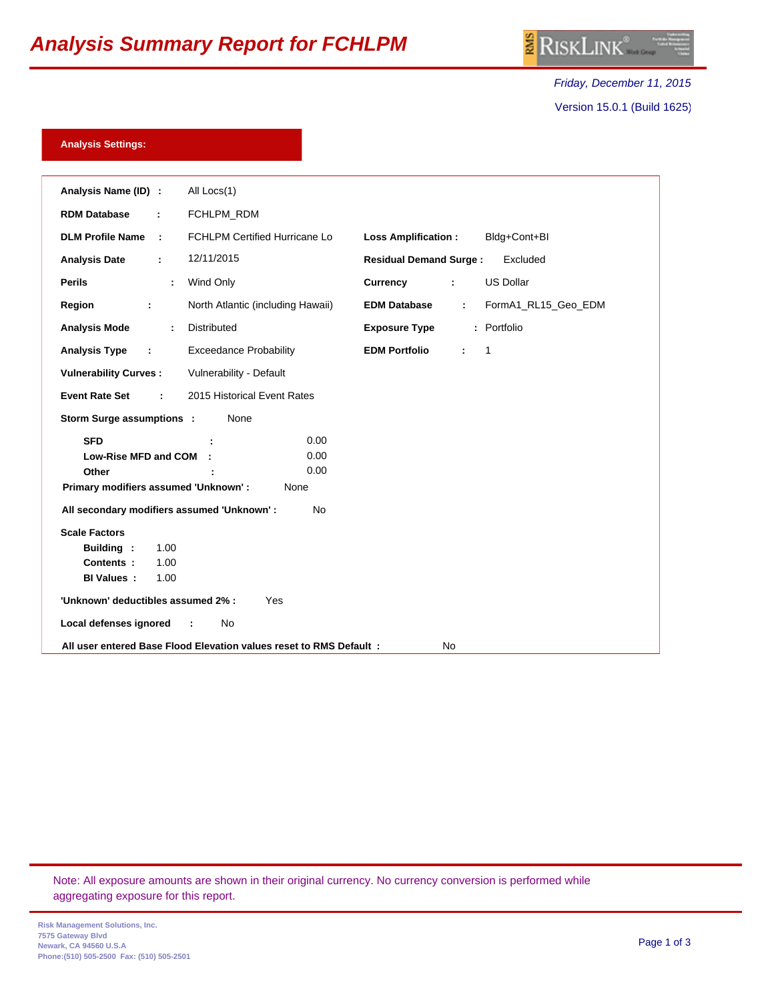# *Analysis Summary Report for FCHLPM*

*Friday, December 11, 2015* Version 15.0.1 (Build 1625)

## **Analysis Settings:**

| Analysis Name (ID) :<br>All Locs(1)                                                                         |
|-------------------------------------------------------------------------------------------------------------|
| FCHLPM_RDM<br><b>RDM Database</b>                                                                           |
| <b>DLM Profile Name</b><br>FCHLPM Certified Hurricane Lo<br>Bldg+Cont+Bl<br><b>Loss Amplification:</b><br>÷ |
| 12/11/2015<br><b>Analysis Date</b><br><b>Residual Demand Surge:</b><br>Excluded<br>÷                        |
| <b>US Dollar</b><br><b>Perils</b><br>Wind Only<br>Currency<br>÷<br>÷                                        |
| North Atlantic (including Hawaii)<br>FormA1_RL15_Geo_EDM<br>Region<br><b>EDM Database</b><br>÷<br>÷         |
| : Portfolio<br>Distributed<br><b>Analysis Mode</b><br><b>Exposure Type</b><br>÷                             |
| <b>Exceedance Probability</b><br><b>Analysis Type</b><br><b>EDM Portfolio</b><br>$\mathbf{1}$<br>÷<br>÷.    |
| Vulnerability - Default<br><b>Vulnerability Curves:</b>                                                     |
| <b>Event Rate Set</b><br>2015 Historical Event Rates                                                        |
| Storm Surge assumptions :<br>None                                                                           |
| 0.00<br><b>SFD</b>                                                                                          |
| 0.00<br>Low-Rise MFD and COM                                                                                |
| 0.00<br>Other                                                                                               |
| Primary modifiers assumed 'Unknown' :<br>None                                                               |
| All secondary modifiers assumed 'Unknown' :<br>No                                                           |
| <b>Scale Factors</b>                                                                                        |
| <b>Building:</b><br>1.00                                                                                    |
| 1.00<br>Contents:                                                                                           |
| <b>BI Values:</b><br>1.00                                                                                   |
| 'Unknown' deductibles assumed 2% :<br>Yes                                                                   |
| No<br>Local defenses ignored                                                                                |
| All user entered Base Flood Elevation values reset to RMS Default :<br>No                                   |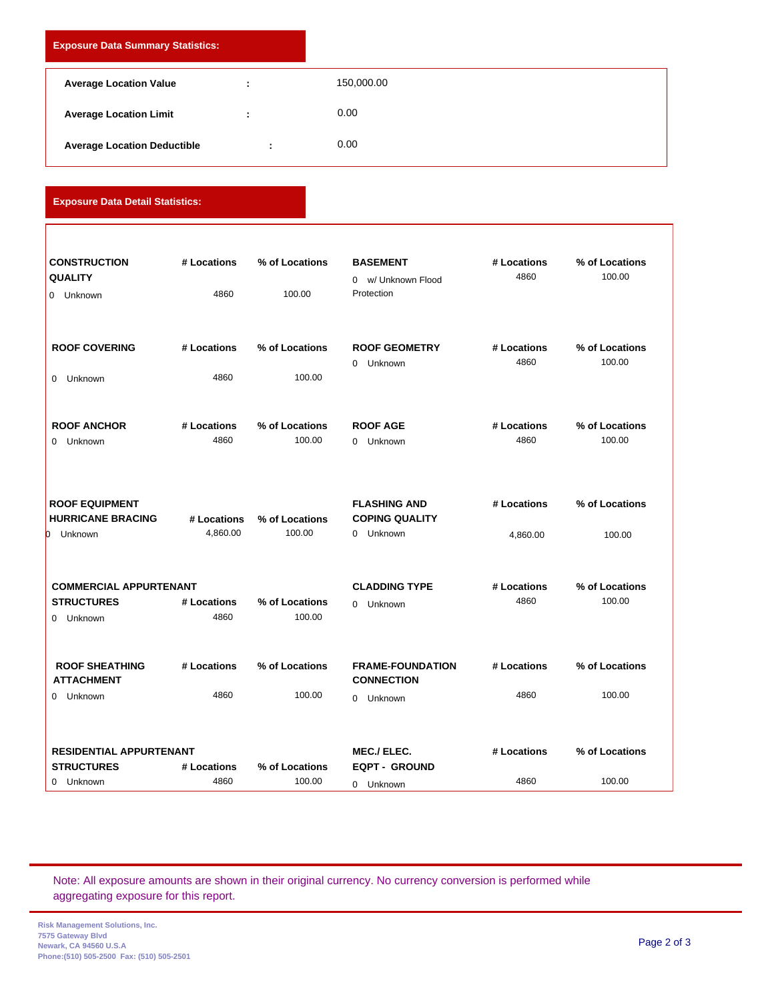| <b>Exposure Data Summary Statistics:</b> |  |            |  |
|------------------------------------------|--|------------|--|
| <b>Average Location Value</b>            |  | 150,000.00 |  |
| <b>Average Location Limit</b>            |  | 0.00       |  |
| <b>Average Location Deductible</b>       |  | 0.00       |  |

**Exposure Data Detail Statistics:**

| <b>CONSTRUCTION</b>                        | # Locations | % of Locations | <b>BASEMENT</b>                              | # Locations | % of Locations |
|--------------------------------------------|-------------|----------------|----------------------------------------------|-------------|----------------|
| <b>QUALITY</b>                             |             |                | 0 w/ Unknown Flood                           | 4860        | 100.00         |
| 0 Unknown                                  | 4860        | 100.00         | Protection                                   |             |                |
|                                            |             |                |                                              |             |                |
| <b>ROOF COVERING</b>                       | # Locations | % of Locations | <b>ROOF GEOMETRY</b>                         | # Locations | % of Locations |
|                                            |             |                | 0 Unknown                                    | 4860        | 100.00         |
| 0 Unknown                                  | 4860        | 100.00         |                                              |             |                |
|                                            |             |                |                                              |             |                |
| <b>ROOF ANCHOR</b>                         | # Locations | % of Locations | <b>ROOF AGE</b>                              | # Locations | % of Locations |
| 0 Unknown                                  | 4860        | 100.00         | 0 Unknown                                    | 4860        | 100.00         |
|                                            |             |                |                                              |             |                |
| <b>ROOF EQUIPMENT</b>                      |             |                | <b>FLASHING AND</b>                          | # Locations | % of Locations |
| <b>HURRICANE BRACING</b>                   | # Locations | % of Locations | <b>COPING QUALITY</b>                        |             |                |
| h<br>Unknown                               | 4,860.00    | 100.00         | 0 Unknown                                    | 4,860.00    | 100.00         |
|                                            |             |                |                                              |             |                |
| <b>COMMERCIAL APPURTENANT</b>              |             |                | <b>CLADDING TYPE</b>                         | # Locations | % of Locations |
| <b>STRUCTURES</b>                          | # Locations | % of Locations | 0 Unknown                                    | 4860        | 100.00         |
| 0 Unknown                                  | 4860        | 100.00         |                                              |             |                |
|                                            |             |                |                                              |             |                |
| <b>ROOF SHEATHING</b><br><b>ATTACHMENT</b> | # Locations | % of Locations | <b>FRAME-FOUNDATION</b><br><b>CONNECTION</b> | # Locations | % of Locations |
| 0 Unknown                                  | 4860        | 100.00         | 0 Unknown                                    | 4860        | 100.00         |
|                                            |             |                |                                              |             |                |
| <b>RESIDENTIAL APPURTENANT</b>             |             |                | <b>MEC./ELEC.</b>                            | # Locations | % of Locations |
| <b>STRUCTURES</b>                          | # Locations | % of Locations | <b>EQPT - GROUND</b>                         |             |                |
| 0 Unknown                                  | 4860        | 100.00         | 0 Unknown                                    | 4860        | 100.00         |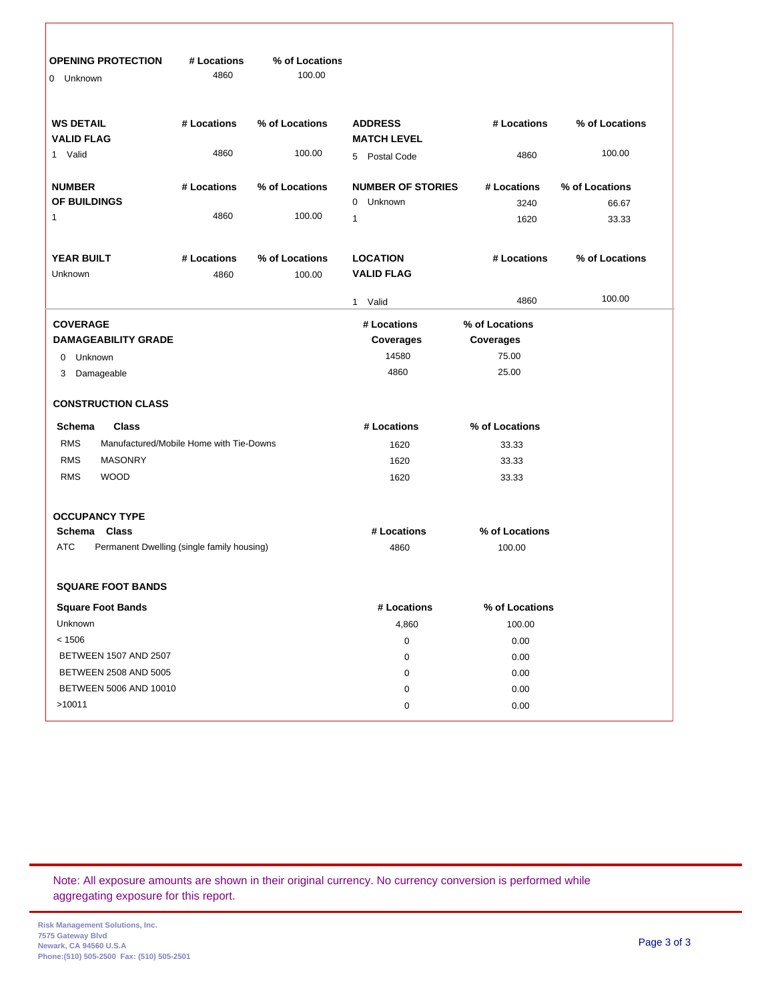| <b>OPENING PROTECTION</b><br>Unknown<br>0                | # Locations<br>4860 | % of Locations<br>100.00 |                                      |                |                |
|----------------------------------------------------------|---------------------|--------------------------|--------------------------------------|----------------|----------------|
| <b>WS DETAIL</b><br><b>VALID FLAG</b>                    | # Locations         | % of Locations           | <b>ADDRESS</b><br><b>MATCH LEVEL</b> | # Locations    | % of Locations |
| 1 Valid                                                  | 4860                | 100.00                   | 5 Postal Code                        | 4860           | 100.00         |
| <b>NUMBER</b>                                            | # Locations         | % of Locations           | <b>NUMBER OF STORIES</b>             | # Locations    | % of Locations |
| OF BUILDINGS                                             |                     |                          | Unknown<br>$\mathbf 0$               | 3240           | 66.67          |
| 1                                                        | 4860                | 100.00                   | $\mathbf{1}$                         | 1620           | 33.33          |
| <b>YEAR BUILT</b><br>Unknown                             | # Locations<br>4860 | % of Locations<br>100.00 | <b>LOCATION</b><br><b>VALID FLAG</b> | # Locations    | % of Locations |
|                                                          |                     |                          | 1 Valid                              | 4860           | 100.00         |
| <b>COVERAGE</b>                                          |                     |                          | # Locations                          | % of Locations |                |
| <b>DAMAGEABILITY GRADE</b>                               |                     |                          | Coverages                            | Coverages      |                |
| Unknown<br>0                                             |                     |                          | 14580                                | 75.00          |                |
| Damageable<br>3                                          |                     |                          | 4860                                 | 25.00          |                |
| <b>CONSTRUCTION CLASS</b>                                |                     |                          |                                      |                |                |
| Schema<br>Class                                          |                     |                          | # Locations                          | % of Locations |                |
| <b>RMS</b><br>Manufactured/Mobile Home with Tie-Downs    |                     |                          | 1620                                 | 33.33          |                |
| <b>RMS</b><br><b>MASONRY</b>                             |                     |                          | 1620                                 | 33.33          |                |
| <b>RMS</b><br><b>WOOD</b>                                |                     |                          | 1620                                 | 33.33          |                |
| <b>OCCUPANCY TYPE</b>                                    |                     |                          |                                      |                |                |
| Schema Class                                             |                     |                          | # Locations                          | % of Locations |                |
| <b>ATC</b><br>Permanent Dwelling (single family housing) |                     |                          | 4860                                 | 100.00         |                |
| <b>SQUARE FOOT BANDS</b>                                 |                     |                          |                                      |                |                |
| <b>Square Foot Bands</b>                                 |                     |                          | # Locations                          | % of Locations |                |
| Unknown                                                  |                     |                          | 4,860                                | 100.00         |                |
| < 1506                                                   |                     |                          | 0                                    | 0.00           |                |
| BETWEEN 1507 AND 2507                                    |                     |                          | $\pmb{0}$                            | 0.00           |                |
| BETWEEN 2508 AND 5005                                    |                     |                          | 0                                    | 0.00           |                |
| BETWEEN 5006 AND 10010                                   |                     |                          | 0                                    | 0.00           |                |
| >10011                                                   |                     |                          | 0                                    | 0.00           |                |
|                                                          |                     |                          |                                      |                |                |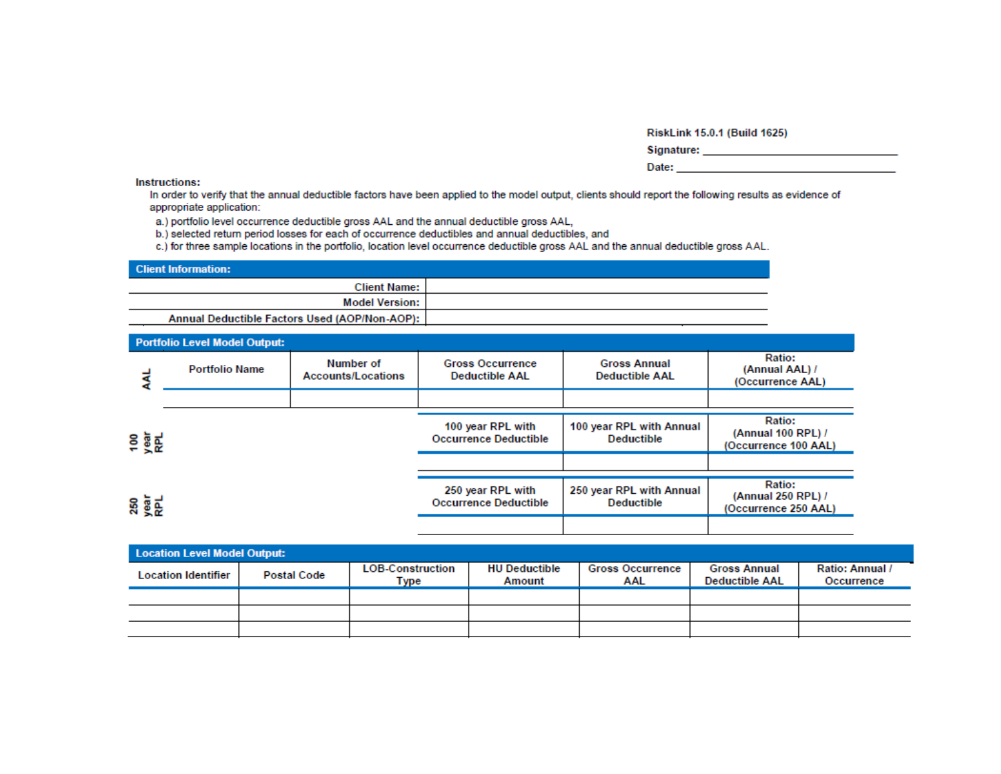RiskLink 15.0.1 (Build 1625)

|  |  | Signature: |  |
|--|--|------------|--|
|  |  |            |  |
|  |  |            |  |

| Date: |  |
|-------|--|
|       |  |

Instructions:

In order to verify that the annual deductible factors have been applied to the model output, clients should report the following results as evidence of appropriate application:

a.) portfolio level occurrence deductible gross AAL and the annual deductible gross AAL,

b.) selected return period losses for each of occurrence deductibles and annual deductibles, and

c.) for three sample locations in the portfolio, location level occurrence deductible gross AAL and the annual deductible gross AAL.

| <b>Client Information:</b>                    |  |
|-----------------------------------------------|--|
| <b>Client Name:</b>                           |  |
| <b>Model Version:</b>                         |  |
| Annual Deductible Factors Used (AOP/Non-AOP): |  |

|                    | <b>Portfolio Level Model Output:</b> |                                        |                                                   |                                               |                                                             |
|--------------------|--------------------------------------|----------------------------------------|---------------------------------------------------|-----------------------------------------------|-------------------------------------------------------------|
|                    | <b>Portfolio Name</b>                | Number of<br><b>Accounts/Locations</b> | <b>Gross Occurrence</b><br><b>Deductible AAL</b>  | <b>Gross Annual</b><br><b>Deductible AAL</b>  | Ratio:<br>(Annual AAL) /<br>(Occurrence AAL)                |
|                    |                                      |                                        |                                                   |                                               |                                                             |
| 98E                |                                      |                                        | 100 year RPL with<br><b>Occurrence Deductible</b> | 100 year RPL with Annual<br><b>Deductible</b> | Ratio:<br>(Annual 100 RPL) /<br>(Occurrence 100 AAL)        |
|                    |                                      |                                        |                                                   |                                               |                                                             |
| <b>250</b><br>Real |                                      |                                        | 250 year RPL with<br><b>Occurrence Deductible</b> | 250 year RPL with Annual<br><b>Deductible</b> | <b>Ratio:</b><br>(Annual 250 RPL) /<br>(Occurrence 250 AAL) |
|                    |                                      |                                        |                                                   |                                               |                                                             |

| <b>Location Level Model Output:</b> |                    |                                 |                                |                                |                                              |                               |
|-------------------------------------|--------------------|---------------------------------|--------------------------------|--------------------------------|----------------------------------------------|-------------------------------|
| <b>Location Identifier</b>          | <b>Postal Code</b> | <b>LOB-Construction</b><br>Type | <b>HU Deductible</b><br>Amount | <b>Gross Occurrence</b><br>AAL | <b>Gross Annual</b><br><b>Deductible AAL</b> | Ratio: Annual /<br>Occurrence |
|                                     |                    |                                 |                                |                                |                                              |                               |
|                                     |                    |                                 |                                |                                |                                              |                               |
|                                     |                    |                                 |                                |                                |                                              |                               |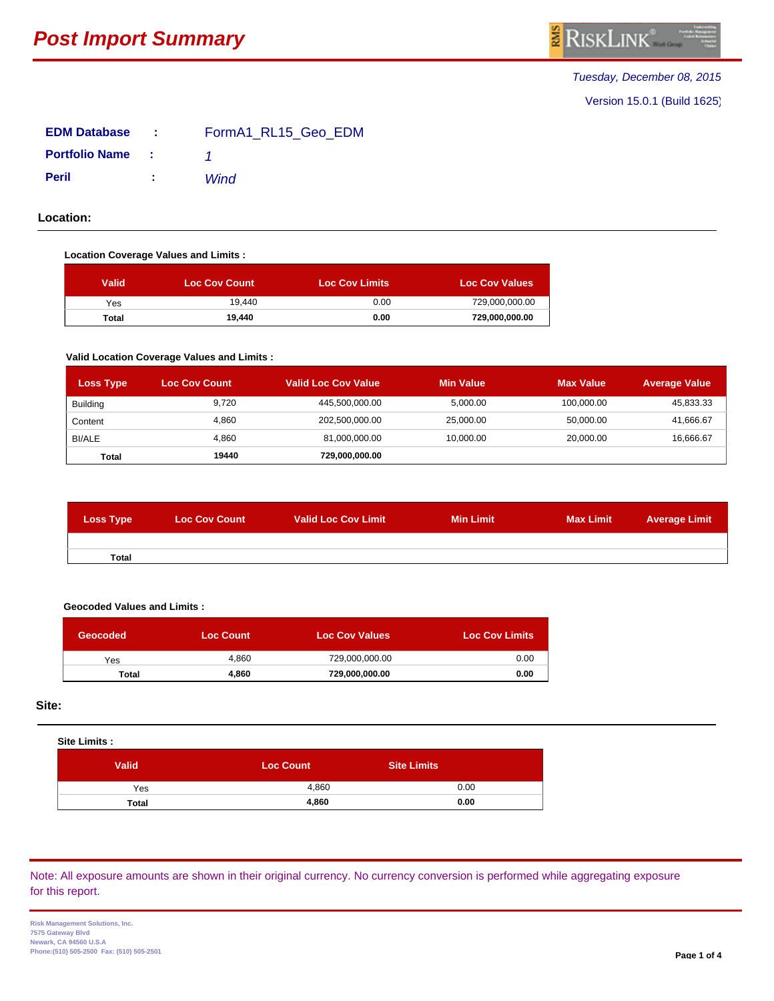# *Tuesday, December 08, 2015*

Version 15.0.1 (Build 1625)

| <b>EDM Database</b>              | s in the same | FormA1 RL15 Geo EDM |
|----------------------------------|---------------|---------------------|
| <b>Portfolio Name</b> : 1        |               |                     |
| <b>Peril</b><br>and the Care and |               | Wind                |

**Location:**

### **Location Coverage Values and Limits :**

| <b>Valid</b> | <b>Loc Cov Count</b> | <b>Loc Cov Limits</b> | <b>Loc Cov Values</b> |
|--------------|----------------------|-----------------------|-----------------------|
| Yes          | 19.440               | 0.00                  | 729,000,000.00        |
| <b>Total</b> | 19.440               | 0.00                  | 729,000,000.00        |

#### **Valid Location Coverage Values and Limits :**

| <b>Loss Type</b> | <b>Loc Cov Count</b> | <b>Valid Loc Cov Value</b> | <b>Min Value</b> | <b>Max Value</b> | <b>Average Value</b> |
|------------------|----------------------|----------------------------|------------------|------------------|----------------------|
| Building         | 9,720                | 445,500,000.00             | 5,000.00         | 100,000.00       | 45,833.33            |
| Content          | 4.860                | 202,500,000.00             | 25,000.00        | 50,000.00        | 41,666.67            |
| BI/ALE           | 4,860                | 81,000,000.00              | 10,000.00        | 20,000.00        | 16,666.67            |
| Total            | 19440                | 729,000,000.00             |                  |                  |                      |

| <b>Loss Type</b> | <b>Loc Cov Count</b> | Valid Loc Cov Limit | <b>Min Limit</b> | <b>Max Limit</b> | <b>Average Limit</b> |
|------------------|----------------------|---------------------|------------------|------------------|----------------------|
|                  |                      |                     |                  |                  |                      |
| <b>Total</b>     |                      |                     |                  |                  |                      |

## **Geocoded Values and Limits :**

| Geocoded     | <b>Loc Count</b> | <b>Loc Cov Values</b> | <b>Loc Cov Limits</b> |
|--------------|------------------|-----------------------|-----------------------|
| Yes          | 4.860            | 729.000.000.00        | 0.00                  |
| <b>Total</b> | 4.860            | 729.000.000.00        | 0.00                  |

**Site:**

| <b>Site Limits:</b> |                  |                    |
|---------------------|------------------|--------------------|
| <b>Valid</b>        | <b>Loc Count</b> | <b>Site Limits</b> |
| Yes                 | 4,860            | 0.00               |
| <b>Total</b>        | 4,860            | 0.00               |

# Note: All exposure amounts are shown in their original currency. No currency conversion is performed while aggregating exposure for this report.

**Risk Management Solutions, Inc. 7575 Gateway Blvd Newark, CA 94560 U.S.A Phone:(510) 505-2500 Fax: (510) 505-2501 Page 1 of 4**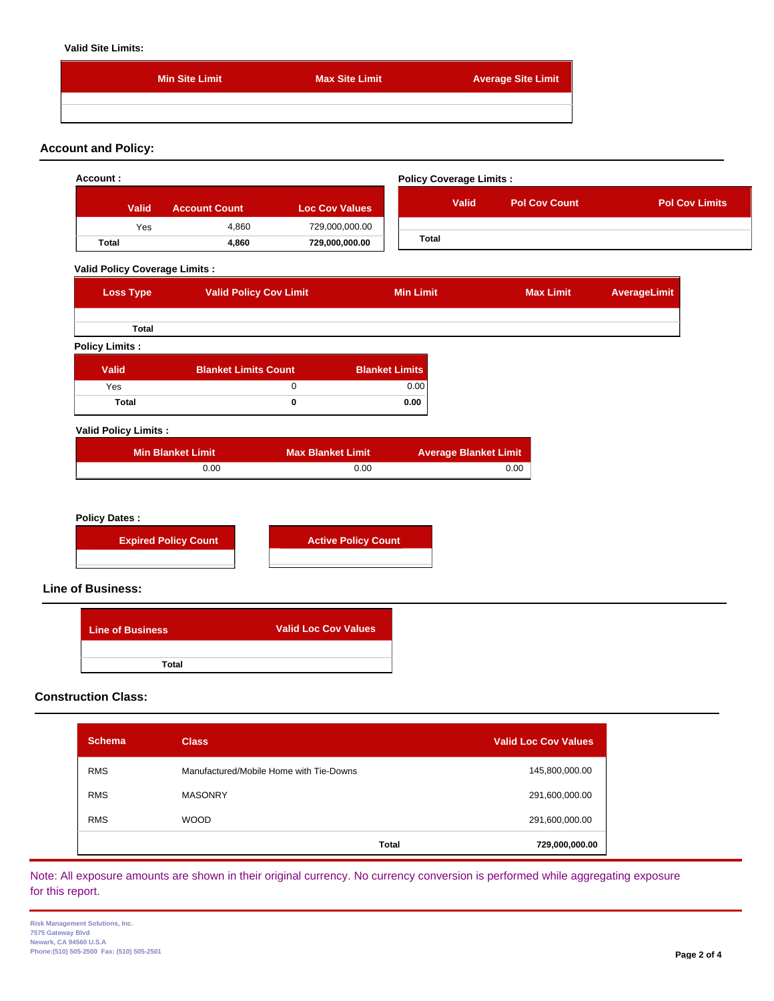#### **Valid Site Limits:**

| <b>Min Site Limit</b> | <b>Max Site Limit</b> | <b>Average Site Limit</b> |
|-----------------------|-----------------------|---------------------------|
|                       |                       |                           |
|                       |                       |                           |

# **Account and Policy:**

|                                                  |                               |                             |                       | <b>Policy Coverage Limits:</b> |                      |              |                       |
|--------------------------------------------------|-------------------------------|-----------------------------|-----------------------|--------------------------------|----------------------|--------------|-----------------------|
| Valid                                            | <b>Account Count</b>          | <b>Loc Cov Values</b>       |                       | <b>Valid</b>                   | <b>Pol Cov Count</b> |              | <b>Pol Cov Limits</b> |
| Yes                                              | 4,860                         | 729,000,000.00              |                       |                                |                      |              |                       |
| Total                                            | 4,860                         | 729,000,000.00              | <b>Total</b>          |                                |                      |              |                       |
| <b>Valid Policy Coverage Limits:</b>             |                               |                             |                       |                                |                      |              |                       |
| <b>Loss Type</b>                                 | <b>Valid Policy Cov Limit</b> |                             | <b>Min Limit</b>      |                                | <b>Max Limit</b>     | AverageLimit |                       |
| Total                                            |                               |                             |                       |                                |                      |              |                       |
| <b>Policy Limits:</b>                            |                               |                             |                       |                                |                      |              |                       |
| <b>Valid</b>                                     | <b>Blanket Limits Count</b>   |                             | <b>Blanket Limits</b> |                                |                      |              |                       |
| Yes                                              |                               | $\mathbf 0$                 | 0.00                  |                                |                      |              |                       |
| Total                                            |                               | $\bf{0}$                    | 0.00                  |                                |                      |              |                       |
| <b>Valid Policy Limits:</b>                      |                               |                             |                       |                                |                      |              |                       |
|                                                  | <b>Min Blanket Limit</b>      | <b>Max Blanket Limit</b>    |                       | <b>Average Blanket Limit</b>   |                      |              |                       |
|                                                  | 0.00                          | 0.00                        |                       | 0.00                           |                      |              |                       |
|                                                  |                               |                             |                       |                                |                      |              |                       |
| <b>Policy Dates:</b><br><b>Line of Business:</b> | <b>Expired Policy Count</b>   | <b>Active Policy Count</b>  |                       |                                |                      |              |                       |
| <b>Line of Business</b>                          | <b>Total</b>                  | <b>Valid Loc Cov Values</b> |                       |                                |                      |              |                       |

| <b>Schema</b> | <b>Class</b>                            | <b>Valid Loc Cov Values</b> |  |
|---------------|-----------------------------------------|-----------------------------|--|
| <b>RMS</b>    | Manufactured/Mobile Home with Tie-Downs | 145,800,000.00              |  |
| <b>RMS</b>    | <b>MASONRY</b>                          | 291,600,000.00              |  |
| <b>RMS</b>    | <b>WOOD</b>                             | 291,600,000.00              |  |
|               | <b>Total</b>                            | 729,000,000.00              |  |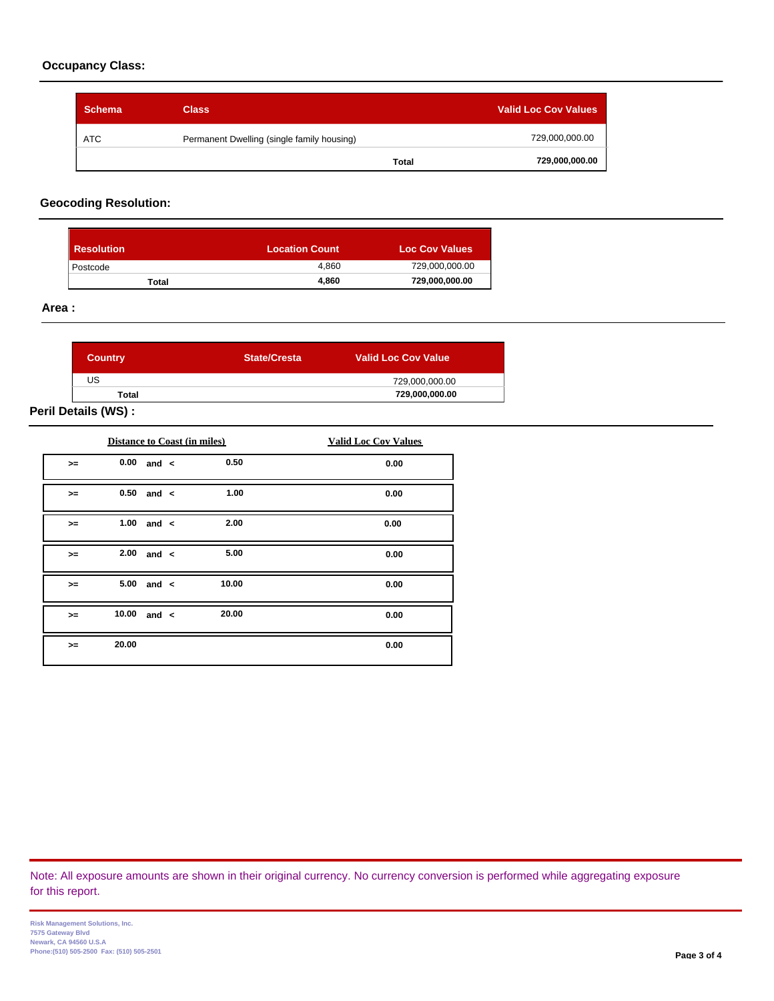# **Occupancy Class:**

| <b>Schema</b> | <b>Class</b>                               |              | <b>Valid Loc Cov Values</b> |
|---------------|--------------------------------------------|--------------|-----------------------------|
| <b>ATC</b>    | Permanent Dwelling (single family housing) |              | 729,000,000.00              |
|               |                                            | <b>Total</b> | 729,000,000.00              |

# **Geocoding Resolution:**

| <b>Resolution</b> | <b>Location Count</b> | <b>Loc Cov Values</b> |
|-------------------|-----------------------|-----------------------|
| Postcode          | 4.860                 | 729,000,000.00        |
| Total             | 4.860                 | 729,000,000.00        |

#### **Area :**

| <b>Country</b> | <b>State/Cresta</b> | <b>Valid Loc Cov Value</b> |
|----------------|---------------------|----------------------------|
| US             |                     | 729,000,000.00             |
| Total          |                     | 729,000,000.00             |

# **Peril Details (WS) :**

|      |       | <b>Distance to Coast (in miles)</b> |       | <b>Valid Loc Cov Values</b> |
|------|-------|-------------------------------------|-------|-----------------------------|
| $>=$ |       | $0.00$ and $\lt$                    | 0.50  | 0.00                        |
| $>=$ | 0.50  | and $\lt$                           | 1.00  | 0.00                        |
| $>=$ | 1.00  | and $\lt$                           | 2.00  | 0.00                        |
| $>=$ | 2.00  | and $\lt$                           | 5.00  | 0.00                        |
| $>=$ | 5.00  | and $\lt$                           | 10.00 | 0.00                        |
| $>=$ | 10.00 | and $\lt$                           | 20.00 | 0.00                        |
| $>=$ | 20.00 |                                     |       | 0.00                        |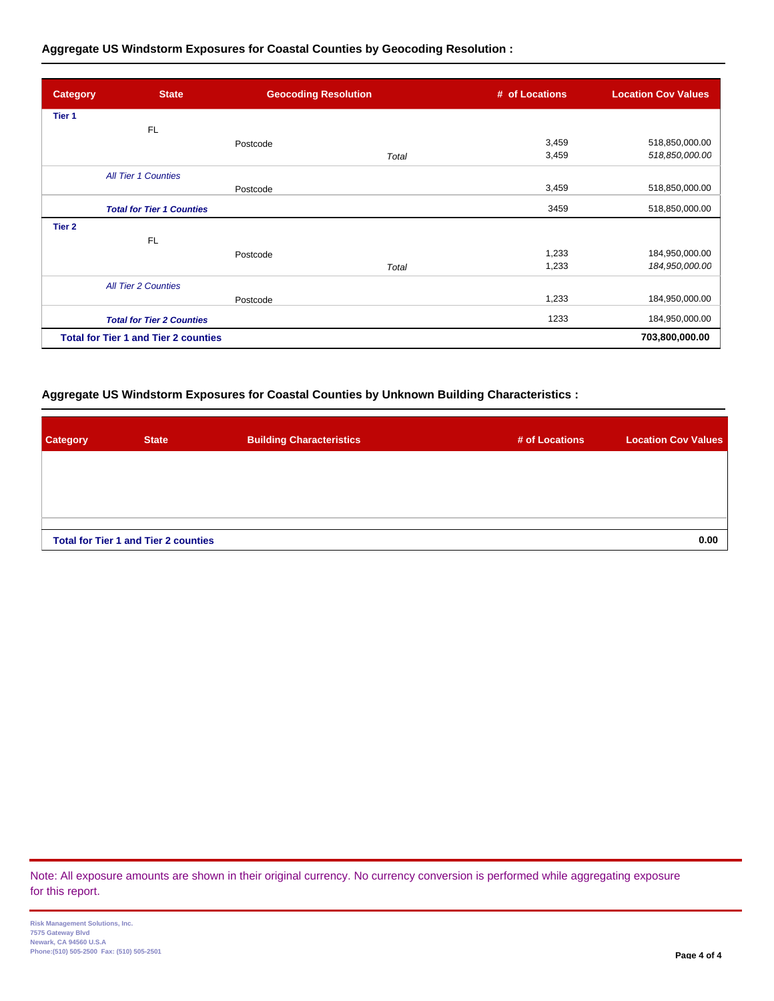# **Aggregate US Windstorm Exposures for Coastal Counties by Geocoding Resolution :**

| <b>Category</b>   | <b>State</b>                                | <b>Geocoding Resolution</b> |       | # of Locations | <b>Location Cov Values</b> |
|-------------------|---------------------------------------------|-----------------------------|-------|----------------|----------------------------|
| Tier <sub>1</sub> |                                             |                             |       |                |                            |
|                   | <b>FL</b>                                   |                             |       |                |                            |
|                   |                                             | Postcode                    |       | 3,459          | 518,850,000.00             |
|                   |                                             |                             | Total | 3,459          | 518,850,000.00             |
|                   | <b>All Tier 1 Counties</b>                  |                             |       |                |                            |
|                   |                                             | Postcode                    |       | 3,459          | 518,850,000.00             |
|                   | <b>Total for Tier 1 Counties</b>            |                             |       | 3459           | 518,850,000.00             |
| Tier <sub>2</sub> |                                             |                             |       |                |                            |
|                   | <b>FL</b>                                   |                             |       |                |                            |
|                   |                                             | Postcode                    |       | 1,233          | 184,950,000.00             |
|                   |                                             |                             | Total | 1,233          | 184,950,000.0C             |
|                   | <b>All Tier 2 Counties</b>                  |                             |       |                |                            |
|                   |                                             | Postcode                    |       | 1,233          | 184,950,000.00             |
|                   | <b>Total for Tier 2 Counties</b>            |                             |       | 1233           | 184,950,000.00             |
|                   | <b>Total for Tier 1 and Tier 2 counties</b> |                             |       |                | 703,800,000.00             |

## **Aggregate US Windstorm Exposures for Coastal Counties by Unknown Building Characteristics :**

| Category | <b>State</b>                                | <b>Building Characteristics</b> | # of Locations | <b>Location Cov Values</b> |
|----------|---------------------------------------------|---------------------------------|----------------|----------------------------|
|          |                                             |                                 |                |                            |
|          |                                             |                                 |                |                            |
|          |                                             |                                 |                |                            |
|          | <b>Total for Tier 1 and Tier 2 counties</b> |                                 |                | 0.00                       |